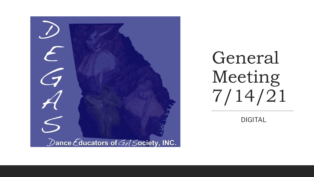

General Meeting 7/14/21

DIGITAL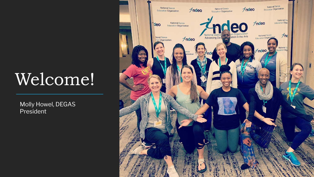# Welcome!

Molly Howel, DEGAS President

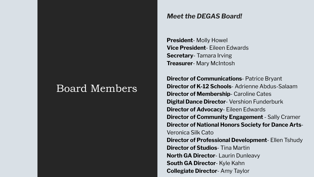### Board Members

### *Meet the DEGAS Board!*

**President**- Molly Howel **Vice President**- Eileen Edwards **Secretary**- Tamara Irving **Treasurer**- Mary McIntosh

**Director of Communications**- Patrice Bryant **Director of K-12 Schools**- Adrienne Abdus-Salaam **Director of Membership**- Caroline Cates **Digital Dance Director**- Vershion Funderburk **Director of Advocacy**- Eileen Edwards **Director of Community Engagement - Sally Cramer Director of National Honors Society for Dance Arts**-Veronica Silk Cato **Director of Professional Development**- Ellen Tshudy **Director of Studios**- Tina Martin **North GA Director**- Laurin Dunleavy **South GA Director**- Kyle Kahn **Collegiate Director**- Amy Taylor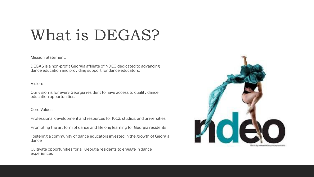## What is DEGAS?

Mission Statement:

DEGAS is a non-profit Georgia affiliate of NDEO dedicated to advancing dance education and providing support for dance educators.

Vision:

Our vision is for every Georgia resident to have access to quality dance education opportunities.

#### Core Values:

Professional development and resources for K-12, studios, and universities

Promoting the art form of dance and lifelong learning for Georgia residents

Fostering a community of dance educators invested in the growth of Georgia dance

Cultivate opportunities for all Georgia residents to engage in dance experiences

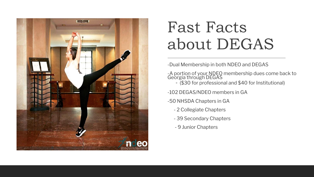

## Fast Facts about DEGAS

-Dual Membership in both NDEO and DEGAS

-A portion of your NDEO membership dues come back to Georgia through DEGAS

◦ (\$30 for professional and \$40 for Institutional)

-102 DEGAS/NDEO members in GA

- -50 NHSDA Chapters in GA
	- 2 Collegiate Chapters
	- 39 Secondary Chapters
	- 9 Junior Chapters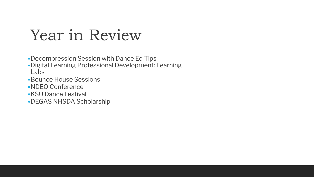### Year in Review

- •Decompression Session with Dance Ed Tips
- •Digital Learning Professional Development: Learning Labs
- •Bounce House Sessions
- •NDEO Conference
- •KSU Dance Festival
- •DEGAS NHSDA Scholarship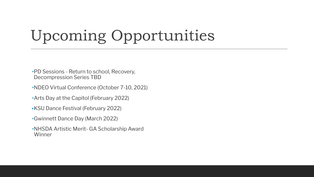## Upcoming Opportunities

- •PD Sessions Return to school, Recovery, Decompression Series TBD
- •NDEO Virtual Conference (October 7-10, 2021)
- •Arts Day at the Capitol (February 2022)
- •KSU Dance Festival (February 2022)
- •Gwinnett Dance Day (March 2022)
- •NHSDA Artistic Merit- GA Scholarship Award Winner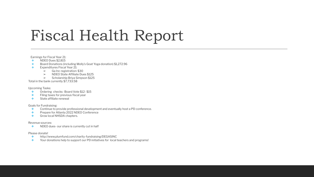## Fiscal Health Report

Earnings for Fiscal Year 21:

- ❖ NDEO Dues \$2,815
- ❖ Board Donations (including Molly's Goat Yoga donation) \$1,272.96
- ❖ Expenditures Fiscal Year 21:
	- $\triangleright$  Ga Inc registration: \$30
	- ➢ NDEO State Affiliate Dues \$125
	- ➢ Scholarship Briya Simpson \$125

Total in the bank currently \$7,733.58

Upcoming Tasks:

- ❖ Ordering checks- Board Vote \$12- \$15
- ❖ Filing taxes for previous fiscal year
- ❖ State affiliate renewal

Goals for Fundraising:

- ❖ Continue to provide professional development and eventually host a PD conference.
- ❖ Prepare for Atlanta 2022 NDEO Conference
- ❖ Grow local NHSDA chapters.

#### Revenue sources:

❖ NDEO dues- our share is currently cut in half

#### Please donate!

- ❖ http://www.plumfund.com/charity-fundraising/DEGASINC
- ❖ Your donations help to support our PD initiatives for local teachers and programs!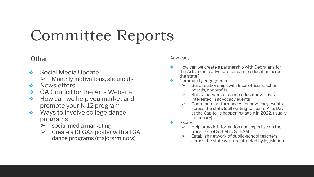## Committee Reports

### **Other**

- ❖ Social Media Update
	- ➢ Monthly motivations, shoutouts
- ❖ Newsletters
- ❖ GA Council for the Arts Website
- ❖ How can we help you market and promote your K-12 program
- ❖ Ways to involve college dance programs
	- $\triangleright$  social media marketing
	- $\triangleright$  Create a DEGAS poster with all GA dance programs (majors/minors)

### Advocacy

- ❖ How can we create a partnership with Georgians for the Arts to help advocate for dance education across the state?
- Community engagement -
	- $\triangleright$  Build relationships with local officials, school boards, nonprofits
	- ➢ Build a network of dance educators/artists interested in advocacy events
	- ➢ Coordinate performances for advocacy events across the state (still waiting to hear if Arts Day at the Capitol is happening again in 2022, usually in January)
- $\div$  K-12
	- $\triangleright$  Help provide information and expertise on the transition of STEM to STEAM
	- $\triangleright$  Establish network of public-school teachers across the state who are affected by legislation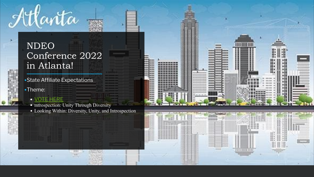### NDEO Conference 2022 in Atlanta!

•State Affiliate Expectations •Theme:

### • [VOTE HERE](https://forms.gle/PiC5iJ63EEQtwBj5A)

Atlanta

• Introspection: Unity Through Diversity

• Looking Within: Diversity, Unity, and Introspection

\*\*\*\*\*\*\*\*\*\*

1113351111